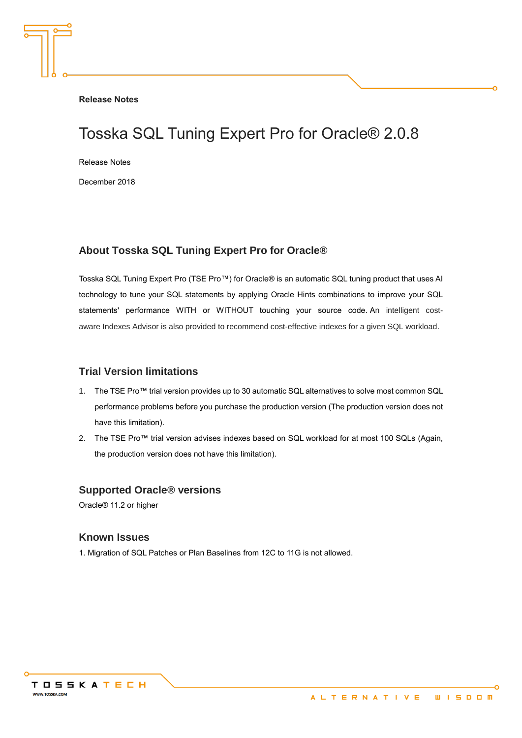**Release Notes**

# Tosska SQL Tuning Expert Pro for Oracle® 2.0.8

Release Notes

December 2018

#### **About Tosska SQL Tuning Expert Pro for Oracle®**

Tosska SQL Tuning Expert Pro (TSE Pro™) for Oracle® is an automatic SQL tuning product that uses AI technology to tune your SQL statements by applying Oracle Hints combinations to improve your SQL statements' performance WITH or WITHOUT touching your source code. An intelligent costaware Indexes Advisor is also provided to recommend cost-effective indexes for a given SQL workload.

#### **Trial Version limitations**

- 1. The TSE Pro™ trial version provides up to 30 automatic SQL alternatives to solve most common SQL performance problems before you purchase the production version (The production version does not have this limitation).
- 2. The TSE Pro™ trial version advises indexes based on SQL workload for at most 100 SQLs (Again, the production version does not have this limitation).

#### **Supported Oracle® versions**

Oracle® 11.2 or higher

#### **Known Issues**

1. Migration of SQL Patches or Plan Baselines from 12C to 11G is not allowed.